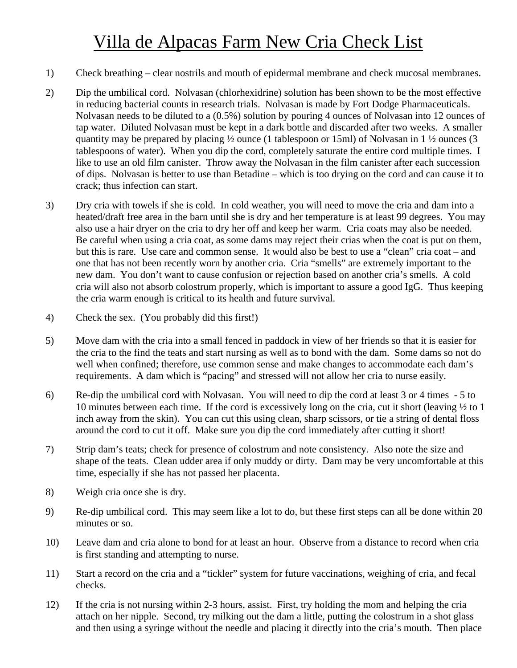## Villa de Alpacas Farm New Cria Check List

- 1) Check breathing clear nostrils and mouth of epidermal membrane and check mucosal membranes.
- 2) Dip the umbilical cord. Nolvasan (chlorhexidrine) solution has been shown to be the most effective in reducing bacterial counts in research trials. Nolvasan is made by Fort Dodge Pharmaceuticals. Nolvasan needs to be diluted to a (0.5%) solution by pouring 4 ounces of Nolvasan into 12 ounces of tap water. Diluted Nolvasan must be kept in a dark bottle and discarded after two weeks. A smaller quantity may be prepared by placing ½ ounce (1 tablespoon or 15ml) of Nolvasan in 1 ½ ounces (3 tablespoons of water). When you dip the cord, completely saturate the entire cord multiple times. I like to use an old film canister. Throw away the Nolvasan in the film canister after each succession of dips. Nolvasan is better to use than Betadine – which is too drying on the cord and can cause it to crack; thus infection can start.
- 3) Dry cria with towels if she is cold. In cold weather, you will need to move the cria and dam into a heated/draft free area in the barn until she is dry and her temperature is at least 99 degrees. You may also use a hair dryer on the cria to dry her off and keep her warm. Cria coats may also be needed. Be careful when using a cria coat, as some dams may reject their crias when the coat is put on them, but this is rare. Use care and common sense. It would also be best to use a "clean" cria coat – and one that has not been recently worn by another cria. Cria "smells" are extremely important to the new dam. You don't want to cause confusion or rejection based on another cria's smells. A cold cria will also not absorb colostrum properly, which is important to assure a good IgG. Thus keeping the cria warm enough is critical to its health and future survival.
- 4) Check the sex. (You probably did this first!)
- 5) Move dam with the cria into a small fenced in paddock in view of her friends so that it is easier for the cria to the find the teats and start nursing as well as to bond with the dam. Some dams so not do well when confined; therefore, use common sense and make changes to accommodate each dam's requirements. A dam which is "pacing" and stressed will not allow her cria to nurse easily.
- 6) Re-dip the umbilical cord with Nolvasan. You will need to dip the cord at least 3 or 4 times 5 to 10 minutes between each time. If the cord is excessively long on the cria, cut it short (leaving ½ to 1 inch away from the skin). You can cut this using clean, sharp scissors, or tie a string of dental floss around the cord to cut it off. Make sure you dip the cord immediately after cutting it short!
- 7) Strip dam's teats; check for presence of colostrum and note consistency. Also note the size and shape of the teats. Clean udder area if only muddy or dirty. Dam may be very uncomfortable at this time, especially if she has not passed her placenta.
- 8) Weigh cria once she is dry.
- 9) Re-dip umbilical cord. This may seem like a lot to do, but these first steps can all be done within 20 minutes or so.
- 10) Leave dam and cria alone to bond for at least an hour. Observe from a distance to record when cria is first standing and attempting to nurse.
- 11) Start a record on the cria and a "tickler" system for future vaccinations, weighing of cria, and fecal checks.
- 12) If the cria is not nursing within 2-3 hours, assist. First, try holding the mom and helping the cria attach on her nipple. Second, try milking out the dam a little, putting the colostrum in a shot glass and then using a syringe without the needle and placing it directly into the cria's mouth. Then place